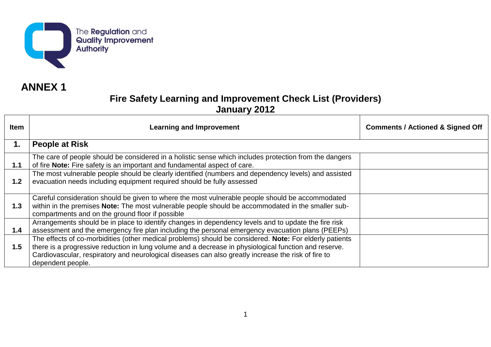

# **ANNEX 1**

| <b>Item</b> | <b>Learning and Improvement</b>                                                                                                                                                                                                                                                                                                              | <b>Comments / Actioned &amp; Signed Off</b> |
|-------------|----------------------------------------------------------------------------------------------------------------------------------------------------------------------------------------------------------------------------------------------------------------------------------------------------------------------------------------------|---------------------------------------------|
| 1.          | <b>People at Risk</b>                                                                                                                                                                                                                                                                                                                        |                                             |
| 1.1         | The care of people should be considered in a holistic sense which includes protection from the dangers<br>of fire Note: Fire safety is an important and fundamental aspect of care.                                                                                                                                                          |                                             |
| 1.2         | The most vulnerable people should be clearly identified (numbers and dependency levels) and assisted<br>evacuation needs including equipment required should be fully assessed                                                                                                                                                               |                                             |
| 1.3         | Careful consideration should be given to where the most vulnerable people should be accommodated<br>within in the premises Note: The most vulnerable people should be accommodated in the smaller sub-<br>compartments and on the ground floor if possible                                                                                   |                                             |
| 1.4         | Arrangements should be in place to identify changes in dependency levels and to update the fire risk<br>assessment and the emergency fire plan including the personal emergency evacuation plans (PEEPs)                                                                                                                                     |                                             |
| 1.5         | The effects of co-morbidities (other medical problems) should be considered. Note: For elderly patients<br>there is a progressive reduction in lung volume and a decrease in physiological function and reserve.<br>Cardiovascular, respiratory and neurological diseases can also greatly increase the risk of fire to<br>dependent people. |                                             |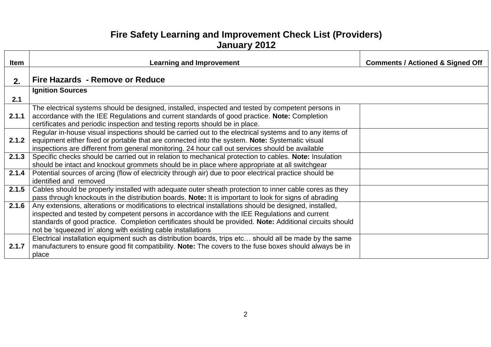| <b>Item</b> | <b>Learning and Improvement</b>                                                                          | <b>Comments / Actioned &amp; Signed Off</b> |
|-------------|----------------------------------------------------------------------------------------------------------|---------------------------------------------|
|             |                                                                                                          |                                             |
| 2.          | Fire Hazards - Remove or Reduce                                                                          |                                             |
|             | <b>Ignition Sources</b>                                                                                  |                                             |
| 2.1         |                                                                                                          |                                             |
|             | The electrical systems should be designed, installed, inspected and tested by competent persons in       |                                             |
| 2.1.1       | accordance with the IEE Regulations and current standards of good practice. Note: Completion             |                                             |
|             | certificates and periodic inspection and testing reports should be in place.                             |                                             |
|             | Regular in-house visual inspections should be carried out to the electrical systems and to any items of  |                                             |
| 2.1.2       | equipment either fixed or portable that are connected into the system. Note: Systematic visual           |                                             |
|             | inspections are different from general monitoring. 24 hour call out services should be available         |                                             |
| 2.1.3       | Specific checks should be carried out in relation to mechanical protection to cables. Note: Insulation   |                                             |
|             | should be intact and knockout grommets should be in place where appropriate at all switchgear            |                                             |
| 2.1.4       | Potential sources of arcing (flow of electricity through air) due to poor electrical practice should be  |                                             |
|             | identified and removed                                                                                   |                                             |
| 2.1.5       | Cables should be properly installed with adequate outer sheath protection to inner cable cores as they   |                                             |
|             | pass through knockouts in the distribution boards. Note: It is important to look for signs of abrading   |                                             |
| 2.1.6       | Any extensions, alterations or modifications to electrical installations should be designed, installed,  |                                             |
|             | inspected and tested by competent persons in accordance with the IEE Regulations and current             |                                             |
|             | standards of good practice. Completion certificates should be provided. Note: Additional circuits should |                                             |
|             | not be 'squeezed in' along with existing cable installations                                             |                                             |
|             | Electrical installation equipment such as distribution boards, trips etc should all be made by the same  |                                             |
| 2.1.7       | manufacturers to ensure good fit compatibility. Note: The covers to the fuse boxes should always be in   |                                             |
|             | place                                                                                                    |                                             |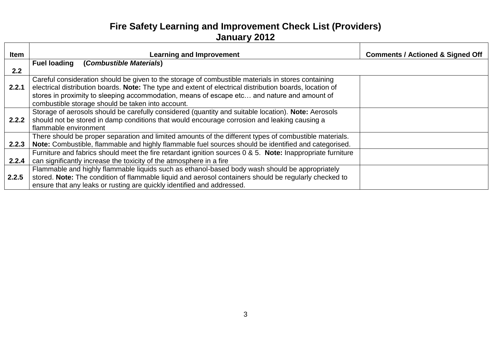| <b>Item</b> | <b>Learning and Improvement</b>                                                                            | <b>Comments / Actioned &amp; Signed Off</b> |
|-------------|------------------------------------------------------------------------------------------------------------|---------------------------------------------|
|             | (Combustible Materials)<br><b>Fuel loading</b>                                                             |                                             |
| 2.2         |                                                                                                            |                                             |
|             | Careful consideration should be given to the storage of combustible materials in stores containing         |                                             |
| 2.2.1       | electrical distribution boards. Note: The type and extent of electrical distribution boards, location of   |                                             |
|             | stores in proximity to sleeping accommodation, means of escape etc and nature and amount of                |                                             |
|             | combustible storage should be taken into account.                                                          |                                             |
|             | Storage of aerosols should be carefully considered (quantity and suitable location). Note: Aerosols        |                                             |
| 2.2.2       | should not be stored in damp conditions that would encourage corrosion and leaking causing a               |                                             |
|             | flammable environment                                                                                      |                                             |
|             | There should be proper separation and limited amounts of the different types of combustible materials.     |                                             |
| 2.2.3       | Note: Combustible, flammable and highly flammable fuel sources should be identified and categorised.       |                                             |
|             | Furniture and fabrics should meet the fire retardant ignition sources 0 & 5. Note: Inappropriate furniture |                                             |
| 2.2.4       | can significantly increase the toxicity of the atmosphere in a fire                                        |                                             |
|             | Flammable and highly flammable liquids such as ethanol-based body wash should be appropriately             |                                             |
| 2.2.5       | stored. Note: The condition of flammable liquid and aerosol containers should be regularly checked to      |                                             |
|             | ensure that any leaks or rusting are quickly identified and addressed.                                     |                                             |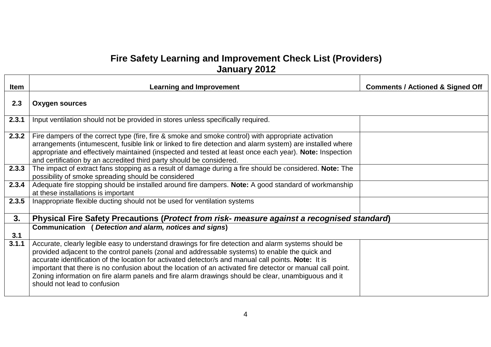| <b>Item</b> | <b>Learning and Improvement</b>                                                                                                                                                                                                                                                                                                                                                                                                                                                                                                                                       | <b>Comments / Actioned &amp; Signed Off</b> |
|-------------|-----------------------------------------------------------------------------------------------------------------------------------------------------------------------------------------------------------------------------------------------------------------------------------------------------------------------------------------------------------------------------------------------------------------------------------------------------------------------------------------------------------------------------------------------------------------------|---------------------------------------------|
| 2.3         | <b>Oxygen sources</b>                                                                                                                                                                                                                                                                                                                                                                                                                                                                                                                                                 |                                             |
| 2.3.1       | Input ventilation should not be provided in stores unless specifically required.                                                                                                                                                                                                                                                                                                                                                                                                                                                                                      |                                             |
| 2.3.2       | Fire dampers of the correct type (fire, fire & smoke and smoke control) with appropriate activation<br>arrangements (intumescent, fusible link or linked to fire detection and alarm system) are installed where<br>appropriate and effectively maintained (inspected and tested at least once each year). Note: Inspection<br>and certification by an accredited third party should be considered.                                                                                                                                                                   |                                             |
| 2.3.3       | The impact of extract fans stopping as a result of damage during a fire should be considered. Note: The<br>possibility of smoke spreading should be considered                                                                                                                                                                                                                                                                                                                                                                                                        |                                             |
| 2.3.4       | Adequate fire stopping should be installed around fire dampers. Note: A good standard of workmanship<br>at these installations is important                                                                                                                                                                                                                                                                                                                                                                                                                           |                                             |
| 2.3.5       | Inappropriate flexible ducting should not be used for ventilation systems                                                                                                                                                                                                                                                                                                                                                                                                                                                                                             |                                             |
| 3.          | Physical Fire Safety Precautions ( <i>Protect from risk- measure against a recognised standard</i> )                                                                                                                                                                                                                                                                                                                                                                                                                                                                  |                                             |
| 3.1         | Communication ( Detection and alarm, notices and signs)                                                                                                                                                                                                                                                                                                                                                                                                                                                                                                               |                                             |
| 3.1.1       | Accurate, clearly legible easy to understand drawings for fire detection and alarm systems should be<br>provided adjacent to the control panels (zonal and addressable systems) to enable the quick and<br>accurate identification of the location for activated detector/s and manual call points. Note: It is<br>important that there is no confusion about the location of an activated fire detector or manual call point.<br>Zoning information on fire alarm panels and fire alarm drawings should be clear, unambiguous and it<br>should not lead to confusion |                                             |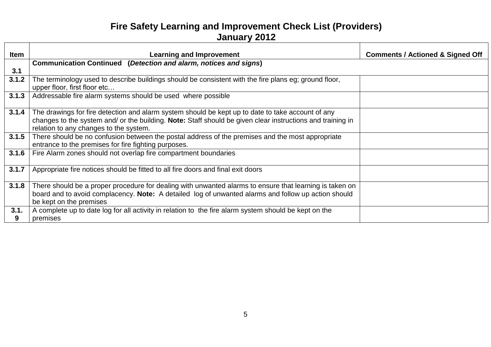| Item      | <b>Learning and Improvement</b>                                                                                                                                                                                                                           | <b>Comments / Actioned &amp; Signed Off</b> |
|-----------|-----------------------------------------------------------------------------------------------------------------------------------------------------------------------------------------------------------------------------------------------------------|---------------------------------------------|
|           | Communication Continued (Detection and alarm, notices and signs)                                                                                                                                                                                          |                                             |
| 3.1       |                                                                                                                                                                                                                                                           |                                             |
| 3.1.2     | The terminology used to describe buildings should be consistent with the fire plans eg; ground floor,<br>upper floor, first floor etc                                                                                                                     |                                             |
| 3.1.3     | Addressable fire alarm systems should be used where possible                                                                                                                                                                                              |                                             |
| 3.1.4     | The drawings for fire detection and alarm system should be kept up to date to take account of any<br>changes to the system and/ or the building. Note: Staff should be given clear instructions and training in<br>relation to any changes to the system. |                                             |
| 3.1.5     | There should be no confusion between the postal address of the premises and the most appropriate<br>entrance to the premises for fire fighting purposes.                                                                                                  |                                             |
| 3.1.6     | Fire Alarm zones should not overlap fire compartment boundaries                                                                                                                                                                                           |                                             |
| 3.1.7     | Appropriate fire notices should be fitted to all fire doors and final exit doors                                                                                                                                                                          |                                             |
| 3.1.8     | There should be a proper procedure for dealing with unwanted alarms to ensure that learning is taken on<br>board and to avoid complacency. Note: A detailed log of unwanted alarms and follow up action should<br>be kept on the premises                 |                                             |
| 3.1.<br>9 | A complete up to date log for all activity in relation to the fire alarm system should be kept on the<br>premises                                                                                                                                         |                                             |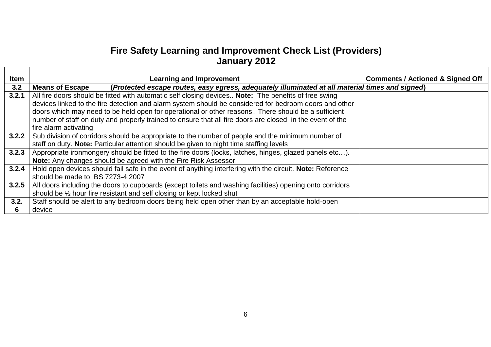| <b>Item</b> | <b>Learning and Improvement</b>                                                                                           | <b>Comments / Actioned &amp; Signed Off</b> |
|-------------|---------------------------------------------------------------------------------------------------------------------------|---------------------------------------------|
| 3.2         | (Protected escape routes, easy egress, adequately illuminated at all material times and signed)<br><b>Means of Escape</b> |                                             |
| 3.2.1       | All fire doors should be fitted with automatic self closing devices Note: The benefits of free swing                      |                                             |
|             | devices linked to the fire detection and alarm system should be considered for bedroom doors and other                    |                                             |
|             | doors which may need to be held open for operational or other reasons There should be a sufficient                        |                                             |
|             | number of staff on duty and properly trained to ensure that all fire doors are closed in the event of the                 |                                             |
|             | fire alarm activating                                                                                                     |                                             |
| 3.2.2       | Sub division of corridors should be appropriate to the number of people and the minimum number of                         |                                             |
|             | staff on duty. Note: Particular attention should be given to night time staffing levels                                   |                                             |
| 3.2.3       | Appropriate ironmongery should be fitted to the fire doors (locks, latches, hinges, glazed panels etc).                   |                                             |
|             | Note: Any changes should be agreed with the Fire Risk Assessor.                                                           |                                             |
| 3.2.4       | Hold open devices should fail safe in the event of anything interfering with the circuit. Note: Reference                 |                                             |
|             | should be made to BS 7273-4:2007                                                                                          |                                             |
| 3.2.5       | All doors including the doors to cupboards (except toilets and washing facilities) opening onto corridors                 |                                             |
|             | should be 1/2 hour fire resistant and self closing or kept locked shut                                                    |                                             |
| 3.2.        | Staff should be alert to any bedroom doors being held open other than by an acceptable hold-open                          |                                             |
| 6           | device                                                                                                                    |                                             |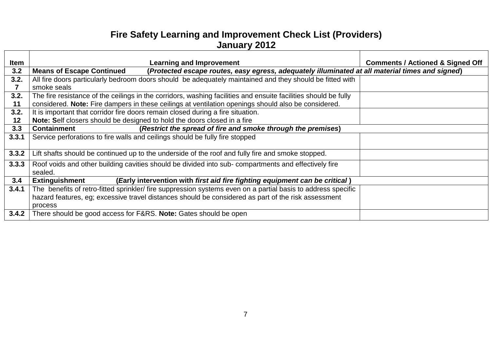| Item  | <b>Learning and Improvement</b>                                                                                                     | <b>Comments / Actioned &amp; Signed Off</b> |
|-------|-------------------------------------------------------------------------------------------------------------------------------------|---------------------------------------------|
| 3.2   | (Protected escape routes, easy egress, adequately illuminated at all material times and signed)<br><b>Means of Escape Continued</b> |                                             |
| 3.2.  | All fire doors particularly bedroom doors should be adequately maintained and they should be fitted with                            |                                             |
|       | smoke seals                                                                                                                         |                                             |
| 3.2.  | The fire resistance of the ceilings in the corridors, washing facilities and ensuite facilities should be fully                     |                                             |
| 11    | considered. Note: Fire dampers in these ceilings at ventilation openings should also be considered.                                 |                                             |
| 3.2.  | It is important that corridor fire doors remain closed during a fire situation.                                                     |                                             |
| 12    | Note: Self closers should be designed to hold the doors closed in a fire                                                            |                                             |
| 3.3   | (Restrict the spread of fire and smoke through the premises)<br><b>Containment</b>                                                  |                                             |
| 3.3.1 | Service perforations to fire walls and ceilings should be fully fire stopped                                                        |                                             |
| 3.3.2 | Lift shafts should be continued up to the underside of the roof and fully fire and smoke stopped.                                   |                                             |
| 3.3.3 | Roof voids and other building cavities should be divided into sub- compartments and effectively fire<br>sealed.                     |                                             |
| 3.4   | <b>Extinguishment</b><br>(Early intervention with first aid fire fighting equipment can be critical)                                |                                             |
| 3.4.1 | The benefits of retro-fitted sprinkler/ fire suppression systems even on a partial basis to address specific                        |                                             |
|       | hazard features, eg; excessive travel distances should be considered as part of the risk assessment                                 |                                             |
|       | process                                                                                                                             |                                             |
| 3.4.2 | There should be good access for F&RS. Note: Gates should be open                                                                    |                                             |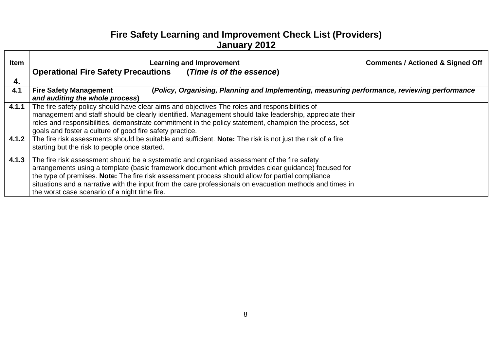| (Policy, Organising, Planning and Implementing, measuring performance, reviewing performance |
|----------------------------------------------------------------------------------------------|
|                                                                                              |
|                                                                                              |
|                                                                                              |
|                                                                                              |
|                                                                                              |
|                                                                                              |
|                                                                                              |
|                                                                                              |
|                                                                                              |
|                                                                                              |
|                                                                                              |
|                                                                                              |
|                                                                                              |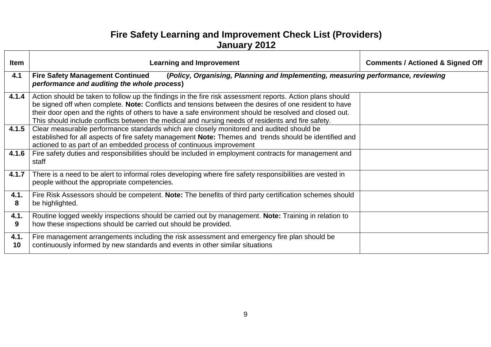| <b>Item</b> | <b>Learning and Improvement</b>                                                                                                                                                                                                                                                                                                                                                                                                   | <b>Comments / Actioned &amp; Signed Off</b> |
|-------------|-----------------------------------------------------------------------------------------------------------------------------------------------------------------------------------------------------------------------------------------------------------------------------------------------------------------------------------------------------------------------------------------------------------------------------------|---------------------------------------------|
| 4.1         | <b>Fire Safety Management Continued</b><br>(Policy, Organising, Planning and Implementing, measuring performance, reviewing<br>performance and auditing the whole process)                                                                                                                                                                                                                                                        |                                             |
| 4.1.4       | Action should be taken to follow up the findings in the fire risk assessment reports. Action plans should<br>be signed off when complete. Note: Conflicts and tensions between the desires of one resident to have<br>their door open and the rights of others to have a safe environment should be resolved and closed out.<br>This should include conflicts between the medical and nursing needs of residents and fire safety. |                                             |
| 4.1.5       | Clear measurable performance standards which are closely monitored and audited should be<br>established for all aspects of fire safety management Note: Themes and trends should be identified and<br>actioned to as part of an embedded process of continuous improvement                                                                                                                                                        |                                             |
| 4.1.6       | Fire safety duties and responsibilities should be included in employment contracts for management and<br>staff                                                                                                                                                                                                                                                                                                                    |                                             |
| 4.1.7       | There is a need to be alert to informal roles developing where fire safety responsibilities are vested in<br>people without the appropriate competencies.                                                                                                                                                                                                                                                                         |                                             |
| 4.1.<br>8   | Fire Risk Assessors should be competent. Note: The benefits of third party certification schemes should<br>be highlighted.                                                                                                                                                                                                                                                                                                        |                                             |
| 4.1.<br>9   | Routine logged weekly inspections should be carried out by management. Note: Training in relation to<br>how these inspections should be carried out should be provided.                                                                                                                                                                                                                                                           |                                             |
| 4.1.<br>10  | Fire management arrangements including the risk assessment and emergency fire plan should be<br>continuously informed by new standards and events in other similar situations                                                                                                                                                                                                                                                     |                                             |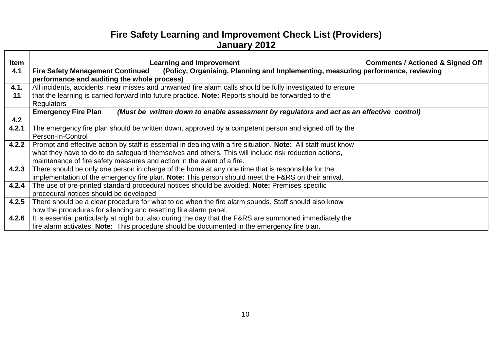| <b>Item</b> | <b>Learning and Improvement</b>                                                                                             | <b>Comments / Actioned &amp; Signed Off</b> |
|-------------|-----------------------------------------------------------------------------------------------------------------------------|---------------------------------------------|
| 4.1         | (Policy, Organising, Planning and Implementing, measuring performance, reviewing<br><b>Fire Safety Management Continued</b> |                                             |
|             | performance and auditing the whole process)                                                                                 |                                             |
| 4.1.        | All incidents, accidents, near misses and unwanted fire alarm calls should be fully investigated to ensure                  |                                             |
| 11          | that the learning is carried forward into future practice. Note: Reports should be forwarded to the                         |                                             |
|             |                                                                                                                             |                                             |
|             | <b>Regulators</b>                                                                                                           |                                             |
|             | <b>Emergency Fire Plan</b><br>(Must be written down to enable assessment by regulators and act as an effective control)     |                                             |
| 4.2         |                                                                                                                             |                                             |
| 4.2.1       | The emergency fire plan should be written down, approved by a competent person and signed off by the                        |                                             |
|             | Person-In-Control                                                                                                           |                                             |
| 4.2.2       | Prompt and effective action by staff is essential in dealing with a fire situation. Note: All staff must know               |                                             |
|             | what they have to do to do safeguard themselves and others. This will include risk reduction actions,                       |                                             |
|             | maintenance of fire safety measures and action in the event of a fire.                                                      |                                             |
| 4.2.3       | There should be only one person in charge of the home at any one time that is responsible for the                           |                                             |
|             | implementation of the emergency fire plan. Note: This person should meet the F&RS on their arrival.                         |                                             |
| 4.2.4       | The use of pre-printed standard procedural notices should be avoided. Note: Premises specific                               |                                             |
|             | procedural notices should be developed                                                                                      |                                             |
| 4.2.5       | There should be a clear procedure for what to do when the fire alarm sounds. Staff should also know                         |                                             |
|             | how the procedures for silencing and resetting fire alarm panel.                                                            |                                             |
|             | 4.2.6   It is essential particularly at night but also during the day that the F&RS are summoned immediately the            |                                             |
|             | fire alarm activates. Note: This procedure should be documented in the emergency fire plan.                                 |                                             |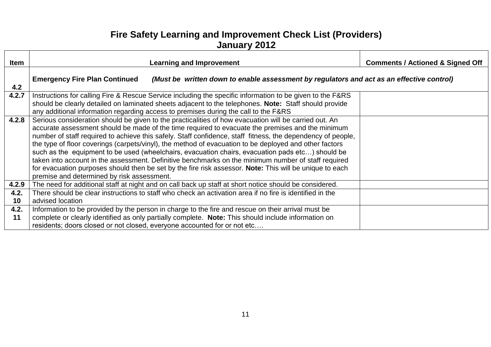| <b>Item</b> | <b>Learning and Improvement</b>                                                                                                                                                                                                                                                                                                                                                                                                                                                                                                                                                                                                                                                                                                                                                                        | <b>Comments / Actioned &amp; Signed Off</b> |
|-------------|--------------------------------------------------------------------------------------------------------------------------------------------------------------------------------------------------------------------------------------------------------------------------------------------------------------------------------------------------------------------------------------------------------------------------------------------------------------------------------------------------------------------------------------------------------------------------------------------------------------------------------------------------------------------------------------------------------------------------------------------------------------------------------------------------------|---------------------------------------------|
| 4.2         | <b>Emergency Fire Plan Continued</b><br>(Must be written down to enable assessment by regulators and act as an effective control)                                                                                                                                                                                                                                                                                                                                                                                                                                                                                                                                                                                                                                                                      |                                             |
| 4.2.7       | Instructions for calling Fire & Rescue Service including the specific information to be given to the F&RS<br>should be clearly detailed on laminated sheets adjacent to the telephones. Note: Staff should provide<br>any additional information regarding access to premises during the call to the F&RS                                                                                                                                                                                                                                                                                                                                                                                                                                                                                              |                                             |
| 4.2.8       | Serious consideration should be given to the practicalities of how evacuation will be carried out. An<br>accurate assessment should be made of the time required to evacuate the premises and the minimum<br>number of staff required to achieve this safely. Staff confidence, staff fitness, the dependency of people,<br>the type of floor coverings (carpets/vinyl), the method of evacuation to be deployed and other factors<br>such as the equipment to be used (wheelchairs, evacuation chairs, evacuation pads etc) should be<br>taken into account in the assessment. Definitive benchmarks on the minimum number of staff required<br>for evacuation purposes should then be set by the fire risk assessor. Note: This will be unique to each<br>premise and determined by risk assessment. |                                             |
| 4.2.9       | The need for additional staff at night and on call back up staff at short notice should be considered.                                                                                                                                                                                                                                                                                                                                                                                                                                                                                                                                                                                                                                                                                                 |                                             |
| 4.2.<br>10  | There should be clear instructions to staff who check an activation area if no fire is identified in the<br>advised location                                                                                                                                                                                                                                                                                                                                                                                                                                                                                                                                                                                                                                                                           |                                             |
| 4.2.<br>11  | Information to be provided by the person in charge to the fire and rescue on their arrival must be<br>complete or clearly identified as only partially complete. Note: This should include information on<br>residents; doors closed or not closed, everyone accounted for or not etc                                                                                                                                                                                                                                                                                                                                                                                                                                                                                                                  |                                             |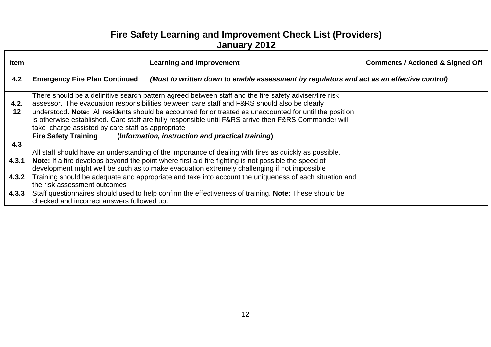| <b>Item</b> | <b>Learning and Improvement</b>                                                                                                                                                                                                                                                                                                                                                                                                                                                  | <b>Comments / Actioned &amp; Signed Off</b> |
|-------------|----------------------------------------------------------------------------------------------------------------------------------------------------------------------------------------------------------------------------------------------------------------------------------------------------------------------------------------------------------------------------------------------------------------------------------------------------------------------------------|---------------------------------------------|
| 4.2         | <b>Emergency Fire Plan Continued</b><br>(Must to written down to enable assessment by regulators and act as an effective control)                                                                                                                                                                                                                                                                                                                                                |                                             |
| 4.2.<br>12  | There should be a definitive search pattern agreed between staff and the fire safety adviser/fire risk<br>assessor. The evacuation responsibilities between care staff and F&RS should also be clearly<br>understood. Note: All residents should be accounted for or treated as unaccounted for until the position<br>is otherwise established. Care staff are fully responsible until F&RS arrive then F&RS Commander will<br>take charge assisted by care staff as appropriate |                                             |
| 4.3         | Fire Safety Training (Information, instruction and practical training)                                                                                                                                                                                                                                                                                                                                                                                                           |                                             |
| 4.3.1       | All staff should have an understanding of the importance of dealing with fires as quickly as possible.<br>Note: If a fire develops beyond the point where first aid fire fighting is not possible the speed of<br>development might well be such as to make evacuation extremely challenging if not impossible                                                                                                                                                                   |                                             |
| 4.3.2       | Training should be adequate and appropriate and take into account the uniqueness of each situation and<br>the risk assessment outcomes                                                                                                                                                                                                                                                                                                                                           |                                             |
| 4.3.3       | Staff questionnaires should used to help confirm the effectiveness of training. Note: These should be<br>checked and incorrect answers followed up.                                                                                                                                                                                                                                                                                                                              |                                             |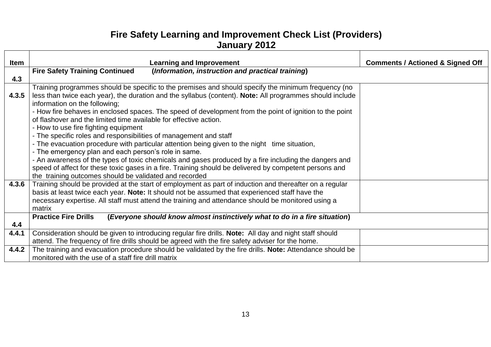| <b>Item</b> | <b>Learning and Improvement</b>                                                                                                                                                                                                                  | <b>Comments / Actioned &amp; Signed Off</b> |
|-------------|--------------------------------------------------------------------------------------------------------------------------------------------------------------------------------------------------------------------------------------------------|---------------------------------------------|
|             | <b>Fire Safety Training Continued</b><br>(Information, instruction and practical training)                                                                                                                                                       |                                             |
| 4.3         |                                                                                                                                                                                                                                                  |                                             |
| 4.3.5       | Training programmes should be specific to the premises and should specify the minimum frequency (no<br>less than twice each year), the duration and the syllabus (content). Note: All programmes should include<br>information on the following; |                                             |
|             | - How fire behaves in enclosed spaces. The speed of development from the point of ignition to the point<br>of flashover and the limited time available for effective action.<br>- How to use fire fighting equipment                             |                                             |
|             | - The specific roles and responsibilities of management and staff                                                                                                                                                                                |                                             |
|             | - The evacuation procedure with particular attention being given to the night time situation,                                                                                                                                                    |                                             |
|             | - The emergency plan and each person's role in same.                                                                                                                                                                                             |                                             |
|             | - An awareness of the types of toxic chemicals and gases produced by a fire including the dangers and                                                                                                                                            |                                             |
|             | speed of affect for these toxic gases in a fire. Training should be delivered by competent persons and                                                                                                                                           |                                             |
|             | the training outcomes should be validated and recorded                                                                                                                                                                                           |                                             |
| 4.3.6       | Training should be provided at the start of employment as part of induction and thereafter on a regular                                                                                                                                          |                                             |
|             | basis at least twice each year. Note: It should not be assumed that experienced staff have the                                                                                                                                                   |                                             |
|             | necessary expertise. All staff must attend the training and attendance should be monitored using a                                                                                                                                               |                                             |
|             | matrix                                                                                                                                                                                                                                           |                                             |
|             | (Everyone should know almost instinctively what to do in a fire situation)<br><b>Practice Fire Drills</b>                                                                                                                                        |                                             |
| 4.4         |                                                                                                                                                                                                                                                  |                                             |
| 4.4.1       | Consideration should be given to introducing regular fire drills. Note: All day and night staff should                                                                                                                                           |                                             |
|             | attend. The frequency of fire drills should be agreed with the fire safety adviser for the home.                                                                                                                                                 |                                             |
| 4.4.2       | The training and evacuation procedure should be validated by the fire drills. Note: Attendance should be                                                                                                                                         |                                             |
|             | monitored with the use of a staff fire drill matrix                                                                                                                                                                                              |                                             |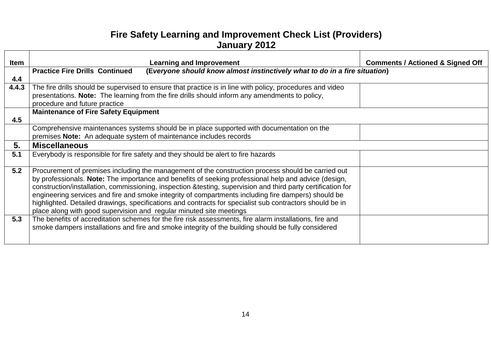| <b>Item</b> | <b>Learning and Improvement</b>                                                                                                                                                                                                                                                                                                                                                                                                                                                                                                                                                                                       | <b>Comments / Actioned &amp; Signed Off</b> |
|-------------|-----------------------------------------------------------------------------------------------------------------------------------------------------------------------------------------------------------------------------------------------------------------------------------------------------------------------------------------------------------------------------------------------------------------------------------------------------------------------------------------------------------------------------------------------------------------------------------------------------------------------|---------------------------------------------|
|             | (Everyone should know almost instinctively what to do in a fire situation)<br><b>Practice Fire Drills Continued</b>                                                                                                                                                                                                                                                                                                                                                                                                                                                                                                   |                                             |
| 4.4         |                                                                                                                                                                                                                                                                                                                                                                                                                                                                                                                                                                                                                       |                                             |
| 4.4.3       | The fire drills should be supervised to ensure that practice is in line with policy, procedures and video<br>presentations. Note: The learning from the fire drills should inform any amendments to policy,<br>procedure and future practice                                                                                                                                                                                                                                                                                                                                                                          |                                             |
| 4.5         | <b>Maintenance of Fire Safety Equipment</b>                                                                                                                                                                                                                                                                                                                                                                                                                                                                                                                                                                           |                                             |
|             | Comprehensive maintenances systems should be in place supported with documentation on the<br>premises Note: An adequate system of maintenance includes records                                                                                                                                                                                                                                                                                                                                                                                                                                                        |                                             |
| 5.          | <b>Miscellaneous</b>                                                                                                                                                                                                                                                                                                                                                                                                                                                                                                                                                                                                  |                                             |
| 5.1         | Everybody is responsible for fire safety and they should be alert to fire hazards                                                                                                                                                                                                                                                                                                                                                                                                                                                                                                                                     |                                             |
| 5.2         | Procurement of premises including the management of the construction process should be carried out<br>by professionals. Note: The importance and benefits of seeking professional help and advice (design,<br>construction/installation, commissioning, inspection & testing, supervision and third party certification for<br>engineering services and fire and smoke integrity of compartments including fire dampers) should be<br>highlighted. Detailed drawings, specifications and contracts for specialist sub contractors should be in<br>place along with good supervision and regular minuted site meetings |                                             |
| 5.3         | The benefits of accreditation schemes for the fire risk assessments, fire alarm installations, fire and<br>smoke dampers installations and fire and smoke integrity of the building should be fully considered                                                                                                                                                                                                                                                                                                                                                                                                        |                                             |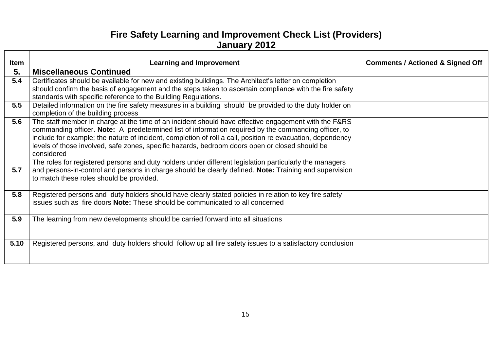| Item | <b>Learning and Improvement</b>                                                                              | <b>Comments / Actioned &amp; Signed Off</b> |
|------|--------------------------------------------------------------------------------------------------------------|---------------------------------------------|
| 5.   | <b>Miscellaneous Continued</b>                                                                               |                                             |
| 5.4  | Certificates should be available for new and existing buildings. The Architect's letter on completion        |                                             |
|      | should confirm the basis of engagement and the steps taken to ascertain compliance with the fire safety      |                                             |
|      | standards with specific reference to the Building Regulations.                                               |                                             |
| 5.5  | Detailed information on the fire safety measures in a building should be provided to the duty holder on      |                                             |
|      | completion of the building process                                                                           |                                             |
| 5.6  | The staff member in charge at the time of an incident should have effective engagement with the F&RS         |                                             |
|      | commanding officer. Note: A predetermined list of information required by the commanding officer, to         |                                             |
|      | include for example; the nature of incident, completion of roll a call, position re evacuation, dependency   |                                             |
|      | levels of those involved, safe zones, specific hazards, bedroom doors open or closed should be<br>considered |                                             |
|      | The roles for registered persons and duty holders under different legislation particularly the managers      |                                             |
| 5.7  | and persons-in-control and persons in charge should be clearly defined. Note: Training and supervision       |                                             |
|      | to match these roles should be provided.                                                                     |                                             |
|      |                                                                                                              |                                             |
| 5.8  | Registered persons and duty holders should have clearly stated policies in relation to key fire safety       |                                             |
|      | issues such as fire doors <b>Note:</b> These should be communicated to all concerned                         |                                             |
|      |                                                                                                              |                                             |
| 5.9  | The learning from new developments should be carried forward into all situations                             |                                             |
|      |                                                                                                              |                                             |
|      |                                                                                                              |                                             |
| 5.10 | Registered persons, and duty holders should follow up all fire safety issues to a satisfactory conclusion    |                                             |
|      |                                                                                                              |                                             |
|      |                                                                                                              |                                             |